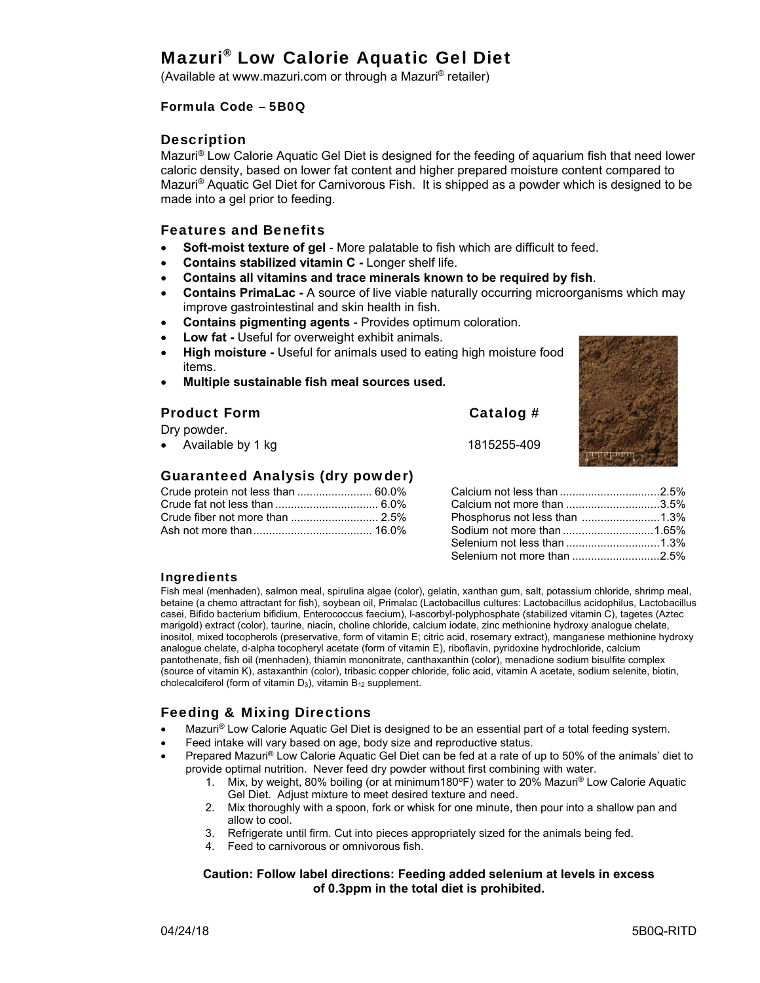# Mazuri® Low Calorie Aquatic Gel Diet

(Available at www.mazuri.com or through a Mazuri® retailer)

#### Formula Code – 5B0Q

#### **Description**

Mazuri® Low Calorie Aquatic Gel Diet is designed for the feeding of aquarium fish that need lower caloric density, based on lower fat content and higher prepared moisture content compared to Mazuri® Aquatic Gel Diet for Carnivorous Fish. It is shipped as a powder which is designed to be made into a gel prior to feeding.

#### Features and Benefits

- **Soft-moist texture of gel** More palatable to fish which are difficult to feed.
- **Contains stabilized vitamin C -** Longer shelf life.
- **Contains all vitamins and trace minerals known to be required by fish**.
- **Contains PrimaLac -** A source of live viable naturally occurring microorganisms which may improve gastrointestinal and skin health in fish.
- **Contains pigmenting agents** Provides optimum coloration.
- **Low fat** Useful for overweight exhibit animals.
- **High moisture** Useful for animals used to eating high moisture food items.
- **Multiple sustainable fish meal sources used.**

## Product Form Catalog #

Dry powder.

• Available by 1 kg  $1815255-409$ 

#### Guaranteed Analysis (dry powder)

| Crude protein not less than  60.0% |  |
|------------------------------------|--|
|                                    |  |
|                                    |  |
|                                    |  |

Calcium not less than ................................ 2.5% Calcium not more than .............................. 3.5% Phosphorus not less than ......................... 1.3% Sodium not more than ............................. 1.65%

Selenium not less than .............................. 1.3% Selenium not more than ............................ 2.5%

#### Ingredients

Fish meal (menhaden), salmon meal, spirulina algae (color), gelatin, xanthan gum, salt, potassium chloride, shrimp meal, betaine (a chemo attractant for fish), soybean oil, Primalac (Lactobacillus cultures: Lactobacillus acidophilus, Lactobacillus casei, Bifido bacterium bifidium, Enterococcus faecium), l-ascorbyl-polyphosphate (stabilized vitamin C), tagetes (Aztec marigold) extract (color), taurine, niacin, choline chloride, calcium iodate, zinc methionine hydroxy analogue chelate, inositol, mixed tocopherols (preservative, form of vitamin E; citric acid, rosemary extract), manganese methionine hydroxy analogue chelate, d-alpha tocopheryl acetate (form of vitamin E), riboflavin, pyridoxine hydrochloride, calcium pantothenate, fish oil (menhaden), thiamin mononitrate, canthaxanthin (color), menadione sodium bisulfite complex (source of vitamin K), astaxanthin (color), tribasic copper chloride, folic acid, vitamin A acetate, sodium selenite, biotin, cholecalciferol (form of vitamin  $D_3$ ), vitamin  $B_{12}$  supplement.

## Feeding & Mixing Directions

- Mazuri® Low Calorie Aquatic Gel Diet is designed to be an essential part of a total feeding system.
- Feed intake will vary based on age, body size and reproductive status.
- Prepared Mazuri® Low Calorie Aquatic Gel Diet can be fed at a rate of up to 50% of the animals' diet to provide optimal nutrition. Never feed dry powder without first combining with water.
	- 1. Mix, by weight, 80% boiling (or at minimum180°F) water to 20% Mazuri® Low Calorie Aquatic Gel Diet. Adjust mixture to meet desired texture and need.
	- 2. Mix thoroughly with a spoon, fork or whisk for one minute, then pour into a shallow pan and allow to cool.
	- 3. Refrigerate until firm. Cut into pieces appropriately sized for the animals being fed.
	- 4. Feed to carnivorous or omnivorous fish.

#### **Caution: Follow label directions: Feeding added selenium at levels in excess of 0.3ppm in the total diet is prohibited.**